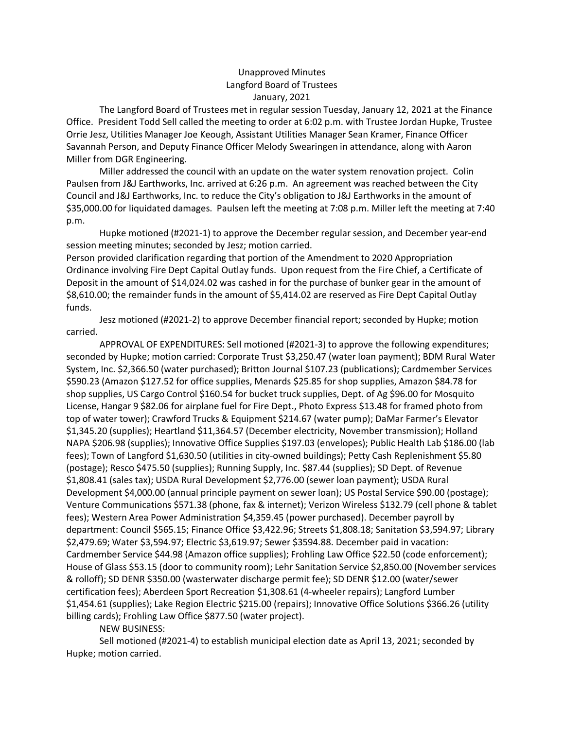## Unapproved Minutes Langford Board of Trustees January, 2021

The Langford Board of Trustees met in regular session Tuesday, January 12, 2021 at the Finance Office. President Todd Sell called the meeting to order at 6:02 p.m. with Trustee Jordan Hupke, Trustee Orrie Jesz, Utilities Manager Joe Keough, Assistant Utilities Manager Sean Kramer, Finance Officer Savannah Person, and Deputy Finance Officer Melody Swearingen in attendance, along with Aaron Miller from DGR Engineering.

 Miller addressed the council with an update on the water system renovation project. Colin Paulsen from J&J Earthworks, Inc. arrived at 6:26 p.m. An agreement was reached between the City Council and J&J Earthworks, Inc. to reduce the City's obligation to J&J Earthworks in the amount of \$35,000.00 for liquidated damages. Paulsen left the meeting at 7:08 p.m. Miller left the meeting at 7:40 p.m.

Hupke motioned (#2021-1) to approve the December regular session, and December year-end session meeting minutes; seconded by Jesz; motion carried.

Person provided clarification regarding that portion of the Amendment to 2020 Appropriation Ordinance involving Fire Dept Capital Outlay funds. Upon request from the Fire Chief, a Certificate of Deposit in the amount of \$14,024.02 was cashed in for the purchase of bunker gear in the amount of \$8,610.00; the remainder funds in the amount of \$5,414.02 are reserved as Fire Dept Capital Outlay funds.

Jesz motioned (#2021-2) to approve December financial report; seconded by Hupke; motion carried.

APPROVAL OF EXPENDITURES: Sell motioned (#2021-3) to approve the following expenditures; seconded by Hupke; motion carried: Corporate Trust \$3,250.47 (water loan payment); BDM Rural Water System, Inc. \$2,366.50 (water purchased); Britton Journal \$107.23 (publications); Cardmember Services \$590.23 (Amazon \$127.52 for office supplies, Menards \$25.85 for shop supplies, Amazon \$84.78 for shop supplies, US Cargo Control \$160.54 for bucket truck supplies, Dept. of Ag \$96.00 for Mosquito License, Hangar 9 \$82.06 for airplane fuel for Fire Dept., Photo Express \$13.48 for framed photo from top of water tower); Crawford Trucks & Equipment \$214.67 (water pump); DaMar Farmer's Elevator \$1,345.20 (supplies); Heartland \$11,364.57 (December electricity, November transmission); Holland NAPA \$206.98 (supplies); Innovative Office Supplies \$197.03 (envelopes); Public Health Lab \$186.00 (lab fees); Town of Langford \$1,630.50 (utilities in city-owned buildings); Petty Cash Replenishment \$5.80 (postage); Resco \$475.50 (supplies); Running Supply, Inc. \$87.44 (supplies); SD Dept. of Revenue \$1,808.41 (sales tax); USDA Rural Development \$2,776.00 (sewer loan payment); USDA Rural Development \$4,000.00 (annual principle payment on sewer loan); US Postal Service \$90.00 (postage); Venture Communications \$571.38 (phone, fax & internet); Verizon Wireless \$132.79 (cell phone & tablet fees); Western Area Power Administration \$4,359.45 (power purchased). December payroll by department: Council \$565.15; Finance Office \$3,422.96; Streets \$1,808.18; Sanitation \$3,594.97; Library \$2,479.69; Water \$3,594.97; Electric \$3,619.97; Sewer \$3594.88. December paid in vacation: Cardmember Service \$44.98 (Amazon office supplies); Frohling Law Office \$22.50 (code enforcement); House of Glass \$53.15 (door to community room); Lehr Sanitation Service \$2,850.00 (November services & rolloff); SD DENR \$350.00 (wasterwater discharge permit fee); SD DENR \$12.00 (water/sewer certification fees); Aberdeen Sport Recreation \$1,308.61 (4-wheeler repairs); Langford Lumber \$1,454.61 (supplies); Lake Region Electric \$215.00 (repairs); Innovative Office Solutions \$366.26 (utility billing cards); Frohling Law Office \$877.50 (water project).

NEW BUSINESS:

Sell motioned (#2021-4) to establish municipal election date as April 13, 2021; seconded by Hupke; motion carried.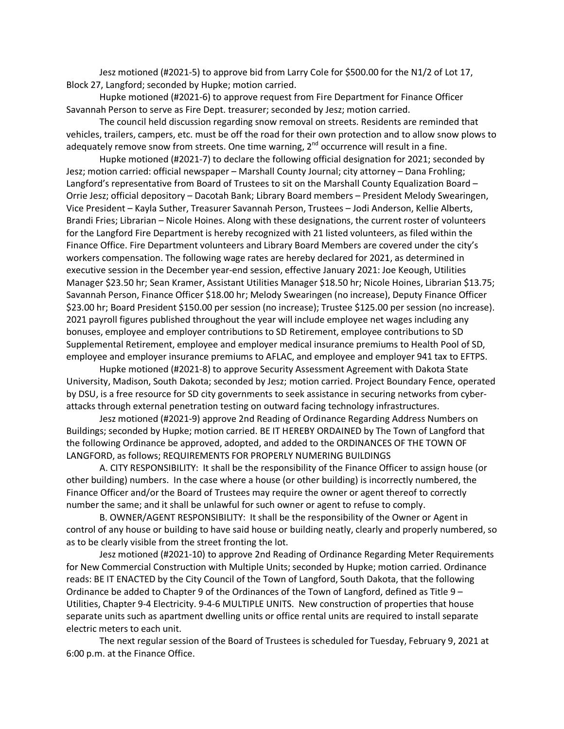Jesz motioned (#2021-5) to approve bid from Larry Cole for \$500.00 for the N1/2 of Lot 17, Block 27, Langford; seconded by Hupke; motion carried.

Hupke motioned (#2021-6) to approve request from Fire Department for Finance Officer Savannah Person to serve as Fire Dept. treasurer; seconded by Jesz; motion carried.

The council held discussion regarding snow removal on streets. Residents are reminded that vehicles, trailers, campers, etc. must be off the road for their own protection and to allow snow plows to adequately remove snow from streets. One time warning,  $2^{nd}$  occurrence will result in a fine.

Hupke motioned (#2021-7) to declare the following official designation for 2021; seconded by Jesz; motion carried: official newspaper – Marshall County Journal; city attorney – Dana Frohling; Langford's representative from Board of Trustees to sit on the Marshall County Equalization Board – Orrie Jesz; official depository – Dacotah Bank; Library Board members – President Melody Swearingen, Vice President – Kayla Suther, Treasurer Savannah Person, Trustees – Jodi Anderson, Kellie Alberts, Brandi Fries; Librarian – Nicole Hoines. Along with these designations, the current roster of volunteers for the Langford Fire Department is hereby recognized with 21 listed volunteers, as filed within the Finance Office. Fire Department volunteers and Library Board Members are covered under the city's workers compensation. The following wage rates are hereby declared for 2021, as determined in executive session in the December year-end session, effective January 2021: Joe Keough, Utilities Manager \$23.50 hr; Sean Kramer, Assistant Utilities Manager \$18.50 hr; Nicole Hoines, Librarian \$13.75; Savannah Person, Finance Officer \$18.00 hr; Melody Swearingen (no increase), Deputy Finance Officer \$23.00 hr; Board President \$150.00 per session (no increase); Trustee \$125.00 per session (no increase). 2021 payroll figures published throughout the year will include employee net wages including any bonuses, employee and employer contributions to SD Retirement, employee contributions to SD Supplemental Retirement, employee and employer medical insurance premiums to Health Pool of SD, employee and employer insurance premiums to AFLAC, and employee and employer 941 tax to EFTPS.

Hupke motioned (#2021-8) to approve Security Assessment Agreement with Dakota State University, Madison, South Dakota; seconded by Jesz; motion carried. Project Boundary Fence, operated by DSU, is a free resource for SD city governments to seek assistance in securing networks from cyberattacks through external penetration testing on outward facing technology infrastructures.

Jesz motioned (#2021-9) approve 2nd Reading of Ordinance Regarding Address Numbers on Buildings; seconded by Hupke; motion carried. BE IT HEREBY ORDAINED by The Town of Langford that the following Ordinance be approved, adopted, and added to the ORDINANCES OF THE TOWN OF LANGFORD, as follows; REQUIREMENTS FOR PROPERLY NUMERING BUILDINGS

A. CITY RESPONSIBILITY: It shall be the responsibility of the Finance Officer to assign house (or other building) numbers. In the case where a house (or other building) is incorrectly numbered, the Finance Officer and/or the Board of Trustees may require the owner or agent thereof to correctly number the same; and it shall be unlawful for such owner or agent to refuse to comply.

B. OWNER/AGENT RESPONSIBILITY: It shall be the responsibility of the Owner or Agent in control of any house or building to have said house or building neatly, clearly and properly numbered, so as to be clearly visible from the street fronting the lot.

Jesz motioned (#2021-10) to approve 2nd Reading of Ordinance Regarding Meter Requirements for New Commercial Construction with Multiple Units; seconded by Hupke; motion carried. Ordinance reads: BE IT ENACTED by the City Council of the Town of Langford, South Dakota, that the following Ordinance be added to Chapter 9 of the Ordinances of the Town of Langford, defined as Title 9 – Utilities, Chapter 9-4 Electricity. 9-4-6 MULTIPLE UNITS. New construction of properties that house separate units such as apartment dwelling units or office rental units are required to install separate electric meters to each unit.

The next regular session of the Board of Trustees is scheduled for Tuesday, February 9, 2021 at 6:00 p.m. at the Finance Office.